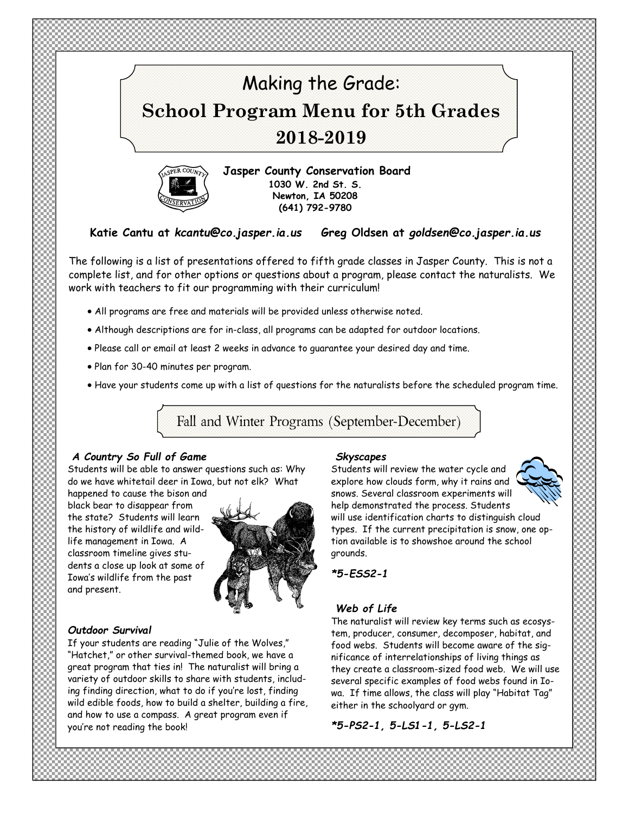



**Jasper County Conservation Board 1030 W. 2nd St. S. Newton, IA 50208 (641) 792-9780** 

**Katie Cantu at** *kcantu@co.jasper.ia.us* **Greg Oldsen at** *goldsen@co.jasper.ia.us* 

The following is a list of presentations offered to fifth grade classes in Jasper County. This is not a complete list, and for other options or questions about a program, please contact the naturalists*.* We work with teachers to fit our programming with their curriculum!

- All programs are free and materials will be provided unless otherwise noted.
- Although descriptions are for in-class, all programs can be adapted for outdoor locations.
- Please call or email at least 2 weeks in advance to guarantee your desired day and time.
- Plan for 30-40 minutes per program.
- Have your students come up with a list of questions for the naturalists before the scheduled program time.

Fall and Winter Programs (September-December)

### *A Country So Full of Game*

Students will be able to answer questions such as: Why do we have whitetail deer in Iowa, but not elk? What

happened to cause the bison and black bear to disappear from the state? Students will learn the history of wildlife and wildlife management in Iowa. A classroom timeline gives students a close up look at some of Iowa's wildlife from the past and present.



## *Outdoor Survival*

If your students are reading "Julie of the Wolves," "Hatchet," or other survival-themed book, we have a great program that ties in! The naturalist will bring a variety of outdoor skills to share with students, including finding direction, what to do if you're lost, finding wild edible foods, how to build a shelter, building a fire, and how to use a compass. A great program even if you're not reading the book!

#### *Skyscapes*

Students will review the water cycle and explore how clouds form, why it rains and snows. Several classroom experiments will help demonstrated the process. Students will use identification charts to distinguish cloud types. If the current precipitation is snow, one option available is to showshoe around the school grounds.

*\*5-ESS2-1* 

## *Web of Life*

The naturalist will review key terms such as ecosystem, producer, consumer, decomposer, habitat, and food webs. Students will become aware of the significance of interrelationships of living things as they create a classroom-sized food web. We will use several specific examples of food webs found in Iowa. If time allows, the class will play "Habitat Tag" either in the schoolyard or gym.

*\*5-PS2-1, 5-LS1-1, 5-LS2-1*